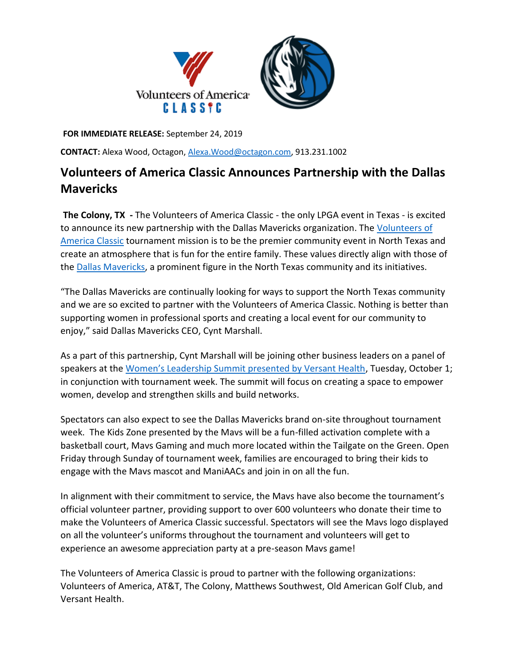

**FOR IMMEDIATE RELEASE:** September 24, 2019

**CONTACT:** Alexa Wood, Octagon[, Alexa.Wood@octagon.com,](mailto:Alexa.Wood@octagon.com) 913.231.1002

## **Volunteers of America Classic Announces Partnership with the Dallas Mavericks**

**The Colony, TX -** The Volunteers of America Classic - the only LPGA event in Texas - is excited to announce its new partnership with the Dallas Mavericks organization. The [Volunteers of](https://u7061146.ct.sendgrid.net/wf/click?upn=84Em28S1K9SvtzcUtu04Egw-2FQVpTOXqLEyd8HUJpbrJfgti8DxlC-2F3BE6WpxI3K1_NuzLxX7ye-2BuNa9m5dYPQJmqkVeCEV-2FEi9wpA4mJVHPDrfleOB5erOfcQxDLVu6W07V1cjpGq74HgCHKR2fa4zy5tTHuOyEU-2BzTZdvCMxjM3-2FU98syr89fkLAH1ERjjeuMhV3G1QZI247fkUgrY3ZH5QRy8OHSqeXMdtU1D4EEjXoLRSFqTxSDXRKx9bV1syitlhscXCZ4PqbfF3VPxBOYxZlR7sOAdiRDU1gxHIwWbCfOmR9N0oBRc5UXJ-2BWFeOEg5r63ixpetogfKHh1p8tL6UO9PkI0WVifBku-2FWTjTBaO1diI-2BbbtEm4nZY5jxADdsdlKSLduTUUu8X6-2BTA7tysqsC3ZyeDhrSzlYbaXxpZg-3D)  [America Classic](https://u7061146.ct.sendgrid.net/wf/click?upn=84Em28S1K9SvtzcUtu04Egw-2FQVpTOXqLEyd8HUJpbrJfgti8DxlC-2F3BE6WpxI3K1_NuzLxX7ye-2BuNa9m5dYPQJmqkVeCEV-2FEi9wpA4mJVHPDrfleOB5erOfcQxDLVu6W07V1cjpGq74HgCHKR2fa4zy5tTHuOyEU-2BzTZdvCMxjM3-2FU98syr89fkLAH1ERjjeuMhV3G1QZI247fkUgrY3ZH5QRy8OHSqeXMdtU1D4EEjXoLRSFqTxSDXRKx9bV1syitlhscXCZ4PqbfF3VPxBOYxZlR7sOAdiRDU1gxHIwWbCfOmR9N0oBRc5UXJ-2BWFeOEg5r63ixpetogfKHh1p8tL6UO9PkI0WVifBku-2FWTjTBaO1diI-2BbbtEm4nZY5jxADdsdlKSLduTUUu8X6-2BTA7tysqsC3ZyeDhrSzlYbaXxpZg-3D) tournament mission is to be the premier community event in North Texas and create an atmosphere that is fun for the entire family. These values directly align with those of the [Dallas Mavericks,](https://u7061146.ct.sendgrid.net/wf/click?upn=G62jSYfZdO-2F12d8lSllQB5EWsuVZ-2B-2BVQ2R8wQvk6lHA-3D_NuzLxX7ye-2BuNa9m5dYPQJmqkVeCEV-2FEi9wpA4mJVHPDrfleOB5erOfcQxDLVu6W07V1cjpGq74HgCHKR2fa4zy5tTHuOyEU-2BzTZdvCMxjM3-2FU98syr89fkLAH1ERjjeuMhV3G1QZI247fkUgrY3ZH5QRy8OHSqeXMdtU1D4EEjXoLRSFqTxSDXRKx9bV1syitlhscXCZ4PqbfF3VPxBOY-2BaC5dUzUJrUlKduDfDdKt3eekJp-2FMkgH7-2BSVI49Tfw3bZ5HUcKObU36aDeVuMy-2BsvQCswloMBCZx4R5-2BCNG78C8cbUjNwcMNRGOdnh18mX-2Fe127TXh0sWM1rnFhm9YgCV8JnD72XBM-2BnQ3Y3WEYnXU-3D) a prominent figure in the North Texas community and its initiatives.

"The Dallas Mavericks are continually looking for ways to support the North Texas community and we are so excited to partner with the Volunteers of America Classic. Nothing is better than supporting women in professional sports and creating a local event for our community to enjoy," said Dallas Mavericks CEO, Cynt Marshall.

As a part of this partnership, Cynt Marshall will be joining other business leaders on a panel of speakers at the [Women's Leadership Summit presented by Versant Health](https://u7061146.ct.sendgrid.net/wf/click?upn=G62jSYfZdO-2F12d8lSllQB0lKQ6RsXKvYwTIeh00EJL99NFd0eqMa-2F9ow7iJCjPsa_NuzLxX7ye-2BuNa9m5dYPQJmqkVeCEV-2FEi9wpA4mJVHPDrfleOB5erOfcQxDLVu6W07V1cjpGq74HgCHKR2fa4zy5tTHuOyEU-2BzTZdvCMxjM3-2FU98syr89fkLAH1ERjjeuMhV3G1QZI247fkUgrY3ZH5QRy8OHSqeXMdtU1D4EEjXoLRSFqTxSDXRKx9bV1syitlhscXCZ4PqbfF3VPxBOY8kl4Uv7uz2tC7bMMnU0OE7PKnrglK-2FmHVcRCIlUs0Jib3L7-2Bb8SMMQXsUijmyD9e43M2qjMZ4QeMnDNYuuPZJm7ZziThnrPFcYaIcLN-2BM7SR7F3nmhdr0ZpfGX3EL3-2BBwuhtSE3OVTi-2BHWQeD4pIl8-3D), Tuesday, October 1; in conjunction with tournament week. The summit will focus on creating a space to empower women, develop and strengthen skills and build networks.

Spectators can also expect to see the Dallas Mavericks brand on-site throughout tournament week. The Kids Zone presented by the Mavs will be a fun-filled activation complete with a basketball court, Mavs Gaming and much more located within the Tailgate on the Green. Open Friday through Sunday of tournament week, families are encouraged to bring their kids to engage with the Mavs mascot and ManiAACs and join in on all the fun.

In alignment with their commitment to service, the Mavs have also become the tournament's official volunteer partner, providing support to over 600 volunteers who donate their time to make the Volunteers of America Classic successful. Spectators will see the Mavs logo displayed on all the volunteer's uniforms throughout the tournament and volunteers will get to experience an awesome appreciation party at a pre-season Mavs game!

The Volunteers of America Classic is proud to partner with the following organizations: Volunteers of America, AT&T, The Colony, Matthews Southwest, Old American Golf Club, and Versant Health.